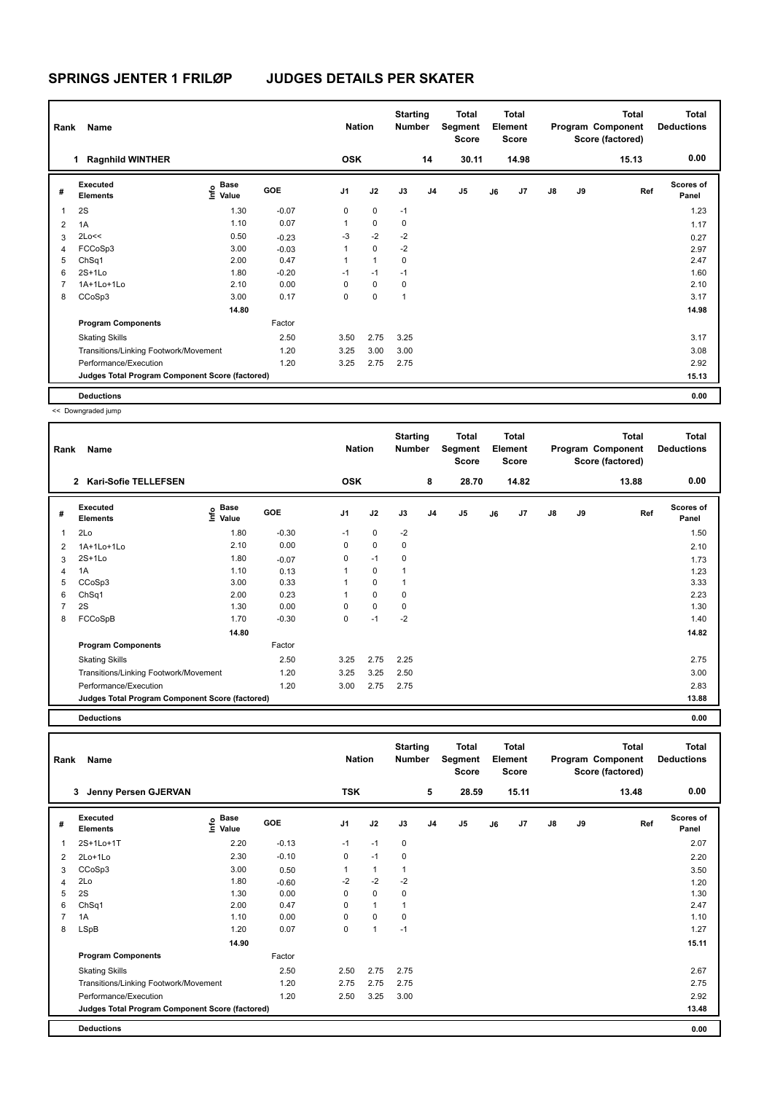| Rank | <b>Name</b>                                     |                                           |         | <b>Nation</b>  |              | <b>Starting</b><br><b>Number</b> |                | <b>Total</b><br>Segment<br><b>Score</b> |    | Total<br>Element<br><b>Score</b> |               |    | <b>Total</b><br>Program Component<br>Score (factored) | <b>Total</b><br><b>Deductions</b> |
|------|-------------------------------------------------|-------------------------------------------|---------|----------------|--------------|----------------------------------|----------------|-----------------------------------------|----|----------------------------------|---------------|----|-------------------------------------------------------|-----------------------------------|
|      | <b>Ragnhild WINTHER</b><br>$\mathbf{1}$         |                                           |         | <b>OSK</b>     |              |                                  | 14             | 30.11                                   |    | 14.98                            |               |    | 15.13                                                 | 0.00                              |
| #    | Executed<br><b>Elements</b>                     | $\frac{6}{5}$ Base<br>$\frac{6}{5}$ Value | GOE     | J <sub>1</sub> | J2           | J3                               | J <sub>4</sub> | J <sub>5</sub>                          | J6 | J7                               | $\mathsf{J}8$ | J9 | Ref                                                   | <b>Scores of</b><br>Panel         |
| 1    | 2S                                              | 1.30                                      | $-0.07$ | 0              | $\mathbf 0$  | $-1$                             |                |                                         |    |                                  |               |    |                                                       | 1.23                              |
| 2    | 1A                                              | 1.10                                      | 0.07    | 1              | $\mathbf 0$  | 0                                |                |                                         |    |                                  |               |    |                                                       | 1.17                              |
| 3    | 2Lo<<                                           | 0.50                                      | $-0.23$ | $-3$           | $-2$         | $-2$                             |                |                                         |    |                                  |               |    |                                                       | 0.27                              |
| 4    | FCCoSp3                                         | 3.00                                      | $-0.03$ | 1              | $\mathbf 0$  | $-2$                             |                |                                         |    |                                  |               |    |                                                       | 2.97                              |
| 5    | ChSq1                                           | 2.00                                      | 0.47    |                | $\mathbf{1}$ | 0                                |                |                                         |    |                                  |               |    |                                                       | 2.47                              |
| 6    | $2S+1Lo$                                        | 1.80                                      | $-0.20$ | $-1$           | $-1$         | $-1$                             |                |                                         |    |                                  |               |    |                                                       | 1.60                              |
|      | 1A+1Lo+1Lo                                      | 2.10                                      | 0.00    | 0              | $\mathbf 0$  | 0                                |                |                                         |    |                                  |               |    |                                                       | 2.10                              |
| 8    | CCoSp3                                          | 3.00                                      | 0.17    | 0              | 0            | $\mathbf{1}$                     |                |                                         |    |                                  |               |    |                                                       | 3.17                              |
|      |                                                 | 14.80                                     |         |                |              |                                  |                |                                         |    |                                  |               |    |                                                       | 14.98                             |
|      | <b>Program Components</b>                       |                                           | Factor  |                |              |                                  |                |                                         |    |                                  |               |    |                                                       |                                   |
|      | <b>Skating Skills</b>                           |                                           | 2.50    | 3.50           | 2.75         | 3.25                             |                |                                         |    |                                  |               |    |                                                       | 3.17                              |
|      | Transitions/Linking Footwork/Movement           |                                           | 1.20    | 3.25           | 3.00         | 3.00                             |                |                                         |    |                                  |               |    |                                                       | 3.08                              |
|      | Performance/Execution                           |                                           | 1.20    | 3.25           | 2.75         | 2.75                             |                |                                         |    |                                  |               |    |                                                       | 2.92                              |
|      | Judges Total Program Component Score (factored) |                                           |         |                |              |                                  |                |                                         |    |                                  |               |    |                                                       | 15.13                             |
|      | <b>Deductions</b>                               |                                           |         |                |              |                                  |                |                                         |    |                                  |               |    |                                                       | 0.00                              |

<< Downgraded jump

| Rank           | Name                                            |                              |         | <b>Nation</b>  |             | <b>Starting</b><br><b>Number</b> |                | Total<br>Segment<br><b>Score</b> |    | <b>Total</b><br>Element<br><b>Score</b> |               |    | <b>Total</b><br>Program Component<br>Score (factored) | <b>Total</b><br><b>Deductions</b> |
|----------------|-------------------------------------------------|------------------------------|---------|----------------|-------------|----------------------------------|----------------|----------------------------------|----|-----------------------------------------|---------------|----|-------------------------------------------------------|-----------------------------------|
|                | <b>Kari-Sofie TELLEFSEN</b><br>$\overline{2}$   |                              |         | <b>OSK</b>     |             |                                  | 8              | 28.70                            |    | 14.82                                   |               |    | 13.88                                                 | 0.00                              |
| #              | <b>Executed</b><br><b>Elements</b>              | <b>Base</b><br>١nf٥<br>Value | GOE     | J <sub>1</sub> | J2          | J3                               | J <sub>4</sub> | J <sub>5</sub>                   | J6 | J7                                      | $\mathsf{J}8$ | J9 | Ref                                                   | <b>Scores of</b><br>Panel         |
| $\mathbf{1}$   | 2Lo                                             | 1.80                         | $-0.30$ | $-1$           | 0           | $-2$                             |                |                                  |    |                                         |               |    |                                                       | 1.50                              |
| $\overline{2}$ | 1A+1Lo+1Lo                                      | 2.10                         | 0.00    | 0              | $\mathbf 0$ | 0                                |                |                                  |    |                                         |               |    |                                                       | 2.10                              |
| 3              | $2S+1Lo$                                        | 1.80                         | $-0.07$ | $\Omega$       | $-1$        | 0                                |                |                                  |    |                                         |               |    |                                                       | 1.73                              |
| 4              | 1A                                              | 1.10                         | 0.13    |                | 0           |                                  |                |                                  |    |                                         |               |    |                                                       | 1.23                              |
| 5              | CCoSp3                                          | 3.00                         | 0.33    |                | 0           |                                  |                |                                  |    |                                         |               |    |                                                       | 3.33                              |
| 6              | ChSq1                                           | 2.00                         | 0.23    |                | $\mathbf 0$ | 0                                |                |                                  |    |                                         |               |    |                                                       | 2.23                              |
| 7              | 2S                                              | 1.30                         | 0.00    | $\Omega$       | $\mathbf 0$ | 0                                |                |                                  |    |                                         |               |    |                                                       | 1.30                              |
| 8              | FCCoSpB                                         | 1.70                         | $-0.30$ | 0              | $-1$        | $-2$                             |                |                                  |    |                                         |               |    |                                                       | 1.40                              |
|                |                                                 | 14.80                        |         |                |             |                                  |                |                                  |    |                                         |               |    |                                                       | 14.82                             |
|                | <b>Program Components</b>                       |                              | Factor  |                |             |                                  |                |                                  |    |                                         |               |    |                                                       |                                   |
|                | <b>Skating Skills</b>                           |                              | 2.50    | 3.25           | 2.75        | 2.25                             |                |                                  |    |                                         |               |    |                                                       | 2.75                              |
|                | Transitions/Linking Footwork/Movement           |                              | 1.20    | 3.25           | 3.25        | 2.50                             |                |                                  |    |                                         |               |    |                                                       | 3.00                              |
|                | Performance/Execution                           |                              | 1.20    | 3.00           | 2.75        | 2.75                             |                |                                  |    |                                         |               |    |                                                       | 2.83                              |
|                | Judges Total Program Component Score (factored) |                              |         |                |             |                                  |                |                                  |    |                                         |               |    |                                                       | 13.88                             |

**Deductions 0.00**

| Rank | Name                                            |                              |            | <b>Nation</b>  |              | <b>Starting</b><br><b>Number</b> |                | <b>Total</b><br>Segment<br><b>Score</b> |    | <b>Total</b><br>Element<br><b>Score</b> |    |    | <b>Total</b><br>Program Component<br>Score (factored) | Total<br><b>Deductions</b> |
|------|-------------------------------------------------|------------------------------|------------|----------------|--------------|----------------------------------|----------------|-----------------------------------------|----|-----------------------------------------|----|----|-------------------------------------------------------|----------------------------|
|      | Jenny Persen GJERVAN<br>3                       |                              |            | <b>TSK</b>     |              |                                  | 5              | 28.59                                   |    | 15.11                                   |    |    | 13.48                                                 | 0.00                       |
| #    | Executed<br><b>Elements</b>                     | <b>Base</b><br>Info<br>Value | <b>GOE</b> | J <sub>1</sub> | J2           | J3                               | J <sub>4</sub> | J <sub>5</sub>                          | J6 | J7                                      | J8 | J9 | Ref                                                   | <b>Scores of</b><br>Panel  |
| 1    | 2S+1Lo+1T                                       | 2.20                         | $-0.13$    | $-1$           | $-1$         | 0                                |                |                                         |    |                                         |    |    |                                                       | 2.07                       |
| 2    | 2Lo+1Lo                                         | 2.30                         | $-0.10$    | 0              | $-1$         | 0                                |                |                                         |    |                                         |    |    |                                                       | 2.20                       |
| 3    | CCoSp3                                          | 3.00                         | 0.50       | 1              | $\mathbf{1}$ | $\mathbf 1$                      |                |                                         |    |                                         |    |    |                                                       | 3.50                       |
| 4    | 2Lo                                             | 1.80                         | $-0.60$    | $-2$           | $-2$         | $-2$                             |                |                                         |    |                                         |    |    |                                                       | 1.20                       |
| 5    | 2S                                              | 1.30                         | 0.00       | 0              | $\mathbf 0$  | 0                                |                |                                         |    |                                         |    |    |                                                       | 1.30                       |
| 6    | ChSq1                                           | 2.00                         | 0.47       | 0              | $\mathbf{1}$ |                                  |                |                                         |    |                                         |    |    |                                                       | 2.47                       |
|      | 1A                                              | 1.10                         | 0.00       | 0              | $\mathbf 0$  | 0                                |                |                                         |    |                                         |    |    |                                                       | 1.10                       |
| 8    | <b>LSpB</b>                                     | 1.20                         | 0.07       | 0              | 1            | $-1$                             |                |                                         |    |                                         |    |    |                                                       | 1.27                       |
|      |                                                 | 14.90                        |            |                |              |                                  |                |                                         |    |                                         |    |    |                                                       | 15.11                      |
|      | <b>Program Components</b>                       |                              | Factor     |                |              |                                  |                |                                         |    |                                         |    |    |                                                       |                            |
|      | <b>Skating Skills</b>                           |                              | 2.50       | 2.50           | 2.75         | 2.75                             |                |                                         |    |                                         |    |    |                                                       | 2.67                       |
|      | Transitions/Linking Footwork/Movement           |                              | 1.20       | 2.75           | 2.75         | 2.75                             |                |                                         |    |                                         |    |    |                                                       | 2.75                       |
|      | Performance/Execution                           |                              | 1.20       | 2.50           | 3.25         | 3.00                             |                |                                         |    |                                         |    |    |                                                       | 2.92                       |
|      | Judges Total Program Component Score (factored) |                              |            |                |              |                                  |                |                                         |    |                                         |    |    |                                                       | 13.48                      |
|      | <b>Deductions</b>                               |                              |            |                |              |                                  |                |                                         |    |                                         |    |    |                                                       | 0.00                       |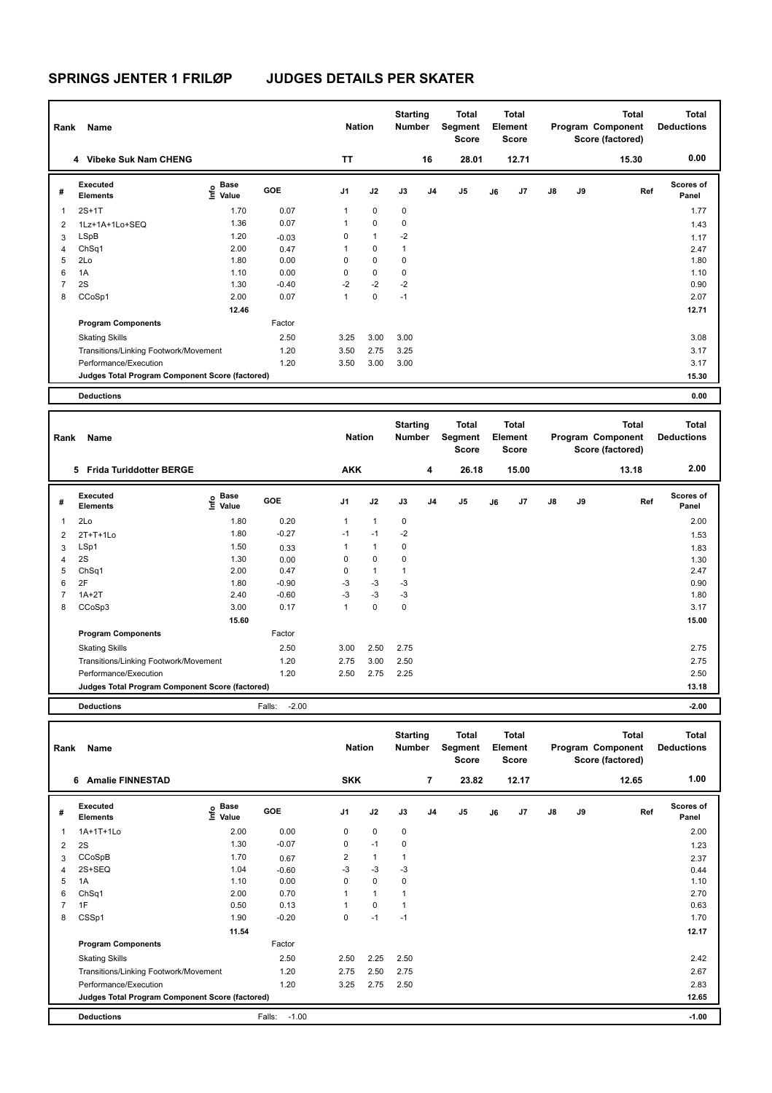| Rank | <b>Name</b>                                     |                           |         | <b>Nation</b>  |              | <b>Starting</b><br>Number |                | Total<br>Segment<br><b>Score</b> |    | <b>Total</b><br>Element<br><b>Score</b> |               |    | <b>Total</b><br>Program Component<br>Score (factored) | Total<br><b>Deductions</b> |
|------|-------------------------------------------------|---------------------------|---------|----------------|--------------|---------------------------|----------------|----------------------------------|----|-----------------------------------------|---------------|----|-------------------------------------------------------|----------------------------|
|      | 4 Vibeke Suk Nam CHENG                          |                           |         | <b>TT</b>      |              |                           | 16             | 28.01                            |    | 12.71                                   |               |    | 15.30                                                 | 0.00                       |
| #    | Executed<br><b>Elements</b>                     | Base<br>o Base<br>⊆ Value | GOE     | J <sub>1</sub> | J2           | J3                        | J <sub>4</sub> | J5                               | J6 | J7                                      | $\mathsf{J}8$ | J9 | Ref                                                   | <b>Scores of</b><br>Panel  |
| 1    | $2S+1T$                                         | 1.70                      | 0.07    | $\mathbf{1}$   | $\mathbf 0$  | $\mathbf 0$               |                |                                  |    |                                         |               |    |                                                       | 1.77                       |
| 2    | 1Lz+1A+1Lo+SEQ                                  | 1.36                      | 0.07    | 1              | $\mathbf 0$  | 0                         |                |                                  |    |                                         |               |    |                                                       | 1.43                       |
| 3    | <b>LSpB</b>                                     | 1.20                      | $-0.03$ | 0              | $\mathbf{1}$ | $-2$                      |                |                                  |    |                                         |               |    |                                                       | 1.17                       |
| 4    | ChSq1                                           | 2.00                      | 0.47    | 1              | $\mathbf 0$  | 1                         |                |                                  |    |                                         |               |    |                                                       | 2.47                       |
| 5    | 2Lo                                             | 1.80                      | 0.00    | 0              | $\mathbf 0$  | 0                         |                |                                  |    |                                         |               |    |                                                       | 1.80                       |
| 6    | 1A                                              | 1.10                      | 0.00    | 0              | $\mathbf 0$  | 0                         |                |                                  |    |                                         |               |    |                                                       | 1.10                       |
|      | 2S                                              | 1.30                      | $-0.40$ | $-2$           | $-2$         | $-2$                      |                |                                  |    |                                         |               |    |                                                       | 0.90                       |
| 8    | CCoSp1                                          | 2.00                      | 0.07    | 1              | $\mathbf 0$  | $-1$                      |                |                                  |    |                                         |               |    |                                                       | 2.07                       |
|      |                                                 | 12.46                     |         |                |              |                           |                |                                  |    |                                         |               |    |                                                       | 12.71                      |
|      | <b>Program Components</b>                       |                           | Factor  |                |              |                           |                |                                  |    |                                         |               |    |                                                       |                            |
|      | <b>Skating Skills</b>                           |                           | 2.50    | 3.25           | 3.00         | 3.00                      |                |                                  |    |                                         |               |    |                                                       | 3.08                       |
|      | Transitions/Linking Footwork/Movement           |                           | 1.20    | 3.50           | 2.75         | 3.25                      |                |                                  |    |                                         |               |    |                                                       | 3.17                       |
|      | Performance/Execution                           |                           | 1.20    | 3.50           | 3.00         | 3.00                      |                |                                  |    |                                         |               |    |                                                       | 3.17                       |
|      | Judges Total Program Component Score (factored) |                           |         |                |              |                           |                |                                  |    |                                         |               |    |                                                       | 15.30                      |
|      | <b>Deductions</b>                               |                           |         |                |              |                           |                |                                  |    |                                         |               |    |                                                       | 0.00                       |

| Rank           | Name                                            |                                  |                   | <b>Nation</b> |              | <b>Starting</b><br><b>Number</b> |    | Total<br>Segment<br><b>Score</b> |    | <b>Total</b><br>Element<br><b>Score</b> |               |    | <b>Total</b><br>Program Component<br>Score (factored) | <b>Total</b><br><b>Deductions</b> |
|----------------|-------------------------------------------------|----------------------------------|-------------------|---------------|--------------|----------------------------------|----|----------------------------------|----|-----------------------------------------|---------------|----|-------------------------------------------------------|-----------------------------------|
|                | <b>Frida Turiddotter BERGE</b><br>5             |                                  |                   | <b>AKK</b>    |              |                                  | 4  | 26.18                            |    | 15.00                                   |               |    | 13.18                                                 | 2.00                              |
| #              | Executed<br><b>Elements</b>                     | <b>Base</b><br>e Base<br>⊆ Value | GOE               | J1            | J2           | J3                               | J4 | J <sub>5</sub>                   | J6 | J7                                      | $\mathsf{J}8$ | J9 | Ref                                                   | Scores of<br>Panel                |
| 1              | 2Lo                                             | 1.80                             | 0.20              | $\mathbf{1}$  | $\mathbf{1}$ | $\pmb{0}$                        |    |                                  |    |                                         |               |    |                                                       | 2.00                              |
| 2              | $2T+T+1L0$                                      | 1.80                             | $-0.27$           | $-1$          | $-1$         | $-2$                             |    |                                  |    |                                         |               |    |                                                       | 1.53                              |
| 3              | LSp1                                            | 1.50                             | 0.33              | 1             | $\mathbf{1}$ | $\mathbf 0$                      |    |                                  |    |                                         |               |    |                                                       | 1.83                              |
| $\overline{4}$ | 2S                                              | 1.30                             | 0.00              | 0             | $\mathbf 0$  | $\pmb{0}$                        |    |                                  |    |                                         |               |    |                                                       | 1.30                              |
| 5              | ChSq1                                           | 2.00                             | 0.47              | $\mathbf 0$   | $\mathbf{1}$ | $\overline{1}$                   |    |                                  |    |                                         |               |    |                                                       | 2.47                              |
| 6              | 2F                                              | 1.80                             | $-0.90$           | $-3$          | $-3$         | $-3$                             |    |                                  |    |                                         |               |    |                                                       | 0.90                              |
| $\overline{7}$ | $1A+2T$                                         | 2.40                             | $-0.60$           | $-3$          | $-3$         | $-3$                             |    |                                  |    |                                         |               |    |                                                       | 1.80                              |
| 8              | CCoSp3                                          | 3.00                             | 0.17              | 1             | $\mathbf 0$  | $\mathbf 0$                      |    |                                  |    |                                         |               |    |                                                       | 3.17                              |
|                |                                                 | 15.60                            |                   |               |              |                                  |    |                                  |    |                                         |               |    |                                                       | 15.00                             |
|                | <b>Program Components</b>                       |                                  | Factor            |               |              |                                  |    |                                  |    |                                         |               |    |                                                       |                                   |
|                | <b>Skating Skills</b>                           |                                  | 2.50              | 3.00          | 2.50         | 2.75                             |    |                                  |    |                                         |               |    |                                                       | 2.75                              |
|                | Transitions/Linking Footwork/Movement           |                                  | 1.20              | 2.75          | 3.00         | 2.50                             |    |                                  |    |                                         |               |    |                                                       | 2.75                              |
|                | Performance/Execution                           |                                  | 1.20              | 2.50          | 2.75         | 2.25                             |    |                                  |    |                                         |               |    |                                                       | 2.50                              |
|                | Judges Total Program Component Score (factored) |                                  |                   |               |              |                                  |    |                                  |    |                                         |               |    |                                                       | 13.18                             |
|                | <b>Deductions</b>                               |                                  | $-2.00$<br>Falls: |               |              |                                  |    |                                  |    |                                         |               |    |                                                       | $-2.00$                           |

| Rank | <b>Name</b>                                     |                                  |                   | <b>Nation</b>  |              | <b>Starting</b><br>Number |                | <b>Total</b><br>Segment<br><b>Score</b> |    | <b>Total</b><br>Element<br>Score |               |    | <b>Total</b><br>Program Component<br>Score (factored) | <b>Total</b><br><b>Deductions</b> |
|------|-------------------------------------------------|----------------------------------|-------------------|----------------|--------------|---------------------------|----------------|-----------------------------------------|----|----------------------------------|---------------|----|-------------------------------------------------------|-----------------------------------|
|      | <b>Amalie FINNESTAD</b><br>6                    |                                  |                   | <b>SKK</b>     |              |                           | $\overline{7}$ | 23.82                                   |    | 12.17                            |               |    | 12.65                                                 | 1.00                              |
| #    | <b>Executed</b><br><b>Elements</b>              | <b>Base</b><br>e Base<br>E Value | GOE               | J <sub>1</sub> | J2           | J3                        | J <sub>4</sub> | J5                                      | J6 | J7                               | $\mathsf{J}8$ | J9 | Ref                                                   | <b>Scores of</b><br>Panel         |
| 1    | 1A+1T+1Lo                                       | 2.00                             | 0.00              | 0              | $\mathbf 0$  | 0                         |                |                                         |    |                                  |               |    |                                                       | 2.00                              |
| 2    | 2S                                              | 1.30                             | $-0.07$           | 0              | $-1$         | 0                         |                |                                         |    |                                  |               |    |                                                       | 1.23                              |
| 3    | CCoSpB                                          | 1.70                             | 0.67              | 2              | $\mathbf{1}$ | 1                         |                |                                         |    |                                  |               |    |                                                       | 2.37                              |
| 4    | 2S+SEQ                                          | 1.04                             | $-0.60$           | $-3$           | $-3$         | $-3$                      |                |                                         |    |                                  |               |    |                                                       | 0.44                              |
| 5    | 1A                                              | 1.10                             | 0.00              | 0              | $\mathbf 0$  | 0                         |                |                                         |    |                                  |               |    |                                                       | 1.10                              |
| 6    | ChSq1                                           | 2.00                             | 0.70              | $\mathbf{1}$   | $\mathbf{1}$ | 1                         |                |                                         |    |                                  |               |    |                                                       | 2.70                              |
|      | 1F                                              | 0.50                             | 0.13              | 1              | $\mathbf 0$  | 1                         |                |                                         |    |                                  |               |    |                                                       | 0.63                              |
| 8    | CSSp1                                           | 1.90                             | $-0.20$           | 0              | $-1$         | $-1$                      |                |                                         |    |                                  |               |    |                                                       | 1.70                              |
|      |                                                 | 11.54                            |                   |                |              |                           |                |                                         |    |                                  |               |    |                                                       | 12.17                             |
|      | <b>Program Components</b>                       |                                  | Factor            |                |              |                           |                |                                         |    |                                  |               |    |                                                       |                                   |
|      | <b>Skating Skills</b>                           |                                  | 2.50              | 2.50           | 2.25         | 2.50                      |                |                                         |    |                                  |               |    |                                                       | 2.42                              |
|      | Transitions/Linking Footwork/Movement           |                                  | 1.20              | 2.75           | 2.50         | 2.75                      |                |                                         |    |                                  |               |    |                                                       | 2.67                              |
|      | Performance/Execution                           |                                  | 1.20              | 3.25           | 2.75         | 2.50                      |                |                                         |    |                                  |               |    |                                                       | 2.83                              |
|      | Judges Total Program Component Score (factored) |                                  |                   |                |              |                           |                |                                         |    |                                  |               |    |                                                       | 12.65                             |
|      | <b>Deductions</b>                               |                                  | $-1.00$<br>Falls: |                |              |                           |                |                                         |    |                                  |               |    |                                                       | $-1.00$                           |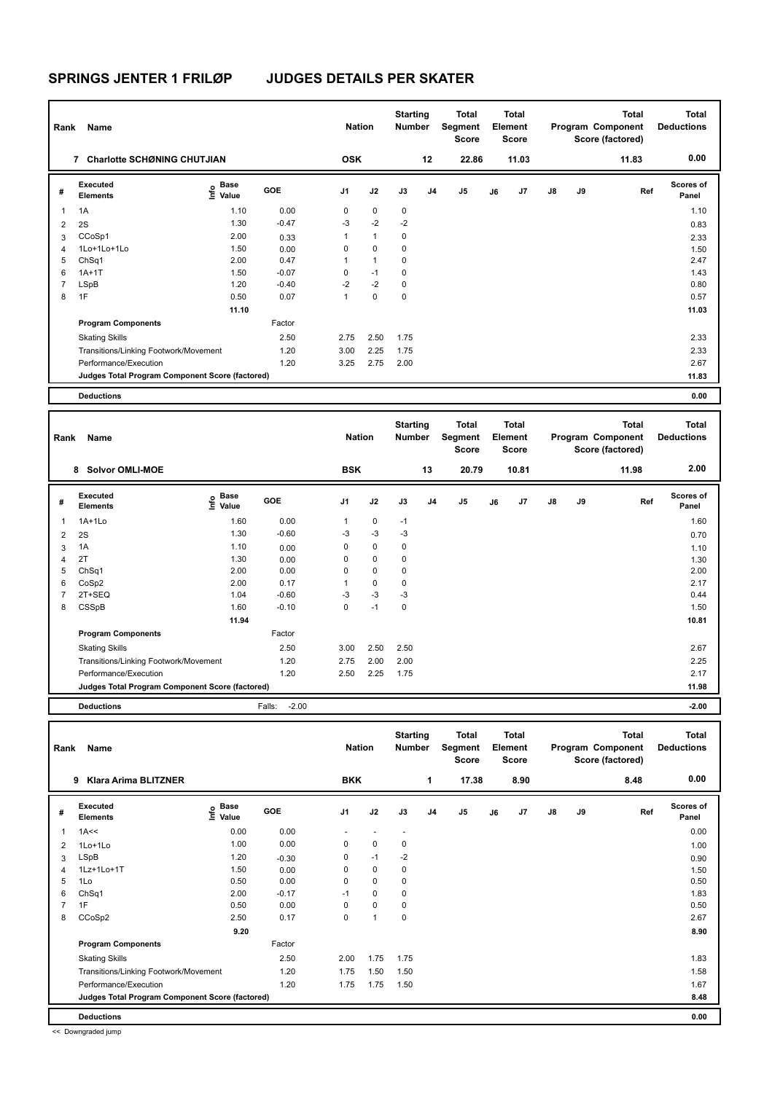| Rank | Name                                            |                                  |         | <b>Nation</b>  |              | <b>Starting</b><br><b>Number</b> |                | Total<br>Segment<br><b>Score</b> |    | Total<br>Element<br><b>Score</b> |               |    | <b>Total</b><br>Program Component<br>Score (factored) | Total<br><b>Deductions</b> |
|------|-------------------------------------------------|----------------------------------|---------|----------------|--------------|----------------------------------|----------------|----------------------------------|----|----------------------------------|---------------|----|-------------------------------------------------------|----------------------------|
|      | <b>Charlotte SCHØNING CHUTJIAN</b><br>7         |                                  |         | <b>OSK</b>     |              |                                  | 12             | 22.86                            |    | 11.03                            |               |    | 11.83                                                 | 0.00                       |
| #    | <b>Executed</b><br><b>Elements</b>              | <b>Base</b><br>o Base<br>⊆ Value | GOE     | J <sub>1</sub> | J2           | J3                               | J <sub>4</sub> | J5                               | J6 | J7                               | $\mathsf{J}8$ | J9 | Ref                                                   | <b>Scores of</b><br>Panel  |
| 1    | 1A                                              | 1.10                             | 0.00    | 0              | $\mathbf 0$  | $\mathbf 0$                      |                |                                  |    |                                  |               |    |                                                       | 1.10                       |
| 2    | 2S                                              | 1.30                             | $-0.47$ | $-3$           | $-2$         | $-2$                             |                |                                  |    |                                  |               |    |                                                       | 0.83                       |
| 3    | CCoSp1                                          | 2.00                             | 0.33    | $\mathbf{1}$   | $\mathbf{1}$ | 0                                |                |                                  |    |                                  |               |    |                                                       | 2.33                       |
| 4    | 1Lo+1Lo+1Lo                                     | 1.50                             | 0.00    | 0              | $\mathbf 0$  | 0                                |                |                                  |    |                                  |               |    |                                                       | 1.50                       |
| 5    | ChSq1                                           | 2.00                             | 0.47    | $\mathbf{1}$   | $\mathbf{1}$ | 0                                |                |                                  |    |                                  |               |    |                                                       | 2.47                       |
| 6    | $1A+1T$                                         | 1.50                             | $-0.07$ | 0              | $-1$         | 0                                |                |                                  |    |                                  |               |    |                                                       | 1.43                       |
|      | LSpB                                            | 1.20                             | $-0.40$ | $-2$           | $-2$         | 0                                |                |                                  |    |                                  |               |    |                                                       | 0.80                       |
| 8    | 1F                                              | 0.50                             | 0.07    | 1              | $\mathbf 0$  | 0                                |                |                                  |    |                                  |               |    |                                                       | 0.57                       |
|      |                                                 | 11.10                            |         |                |              |                                  |                |                                  |    |                                  |               |    |                                                       | 11.03                      |
|      | <b>Program Components</b>                       |                                  | Factor  |                |              |                                  |                |                                  |    |                                  |               |    |                                                       |                            |
|      | <b>Skating Skills</b>                           |                                  | 2.50    | 2.75           | 2.50         | 1.75                             |                |                                  |    |                                  |               |    |                                                       | 2.33                       |
|      | Transitions/Linking Footwork/Movement           |                                  | 1.20    | 3.00           | 2.25         | 1.75                             |                |                                  |    |                                  |               |    |                                                       | 2.33                       |
|      | Performance/Execution                           |                                  | 1.20    | 3.25           | 2.75         | 2.00                             |                |                                  |    |                                  |               |    |                                                       | 2.67                       |
|      | Judges Total Program Component Score (factored) |                                  |         |                |              |                                  |                |                                  |    |                                  |               |    |                                                       | 11.83                      |
|      | <b>Deductions</b>                               |                                  |         |                |              |                                  |                |                                  |    |                                  |               |    |                                                       | 0.00                       |

| Rank           | Name                                            |                     |                   | <b>Nation</b>  |      | <b>Starting</b><br><b>Number</b> |                | <b>Total</b><br>Segment<br><b>Score</b> |    | <b>Total</b><br>Element<br>Score |               |    | <b>Total</b><br>Program Component<br>Score (factored) | Total<br><b>Deductions</b> |
|----------------|-------------------------------------------------|---------------------|-------------------|----------------|------|----------------------------------|----------------|-----------------------------------------|----|----------------------------------|---------------|----|-------------------------------------------------------|----------------------------|
|                | <b>Solvor OMLI-MOE</b><br>8                     |                     |                   | <b>BSK</b>     |      |                                  | 13             | 20.79                                   |    | 10.81                            |               |    | 11.98                                                 | 2.00                       |
| #              | Executed<br><b>Elements</b>                     | Base<br>۴٥<br>Value | GOE               | J <sub>1</sub> | J2   | J3                               | J <sub>4</sub> | J <sub>5</sub>                          | J6 | J <sub>7</sub>                   | $\mathsf{J}8$ | J9 | Ref                                                   | Scores of<br>Panel         |
| 1              | $1A+1Lo$                                        | 1.60                | 0.00              | 1              | 0    | $-1$                             |                |                                         |    |                                  |               |    |                                                       | 1.60                       |
| 2              | 2S                                              | 1.30                | $-0.60$           | $-3$           | $-3$ | $-3$                             |                |                                         |    |                                  |               |    |                                                       | 0.70                       |
| 3              | 1A                                              | 1.10                | 0.00              | 0              | 0    | 0                                |                |                                         |    |                                  |               |    |                                                       | 1.10                       |
| $\overline{4}$ | 2T                                              | 1.30                | 0.00              | 0              | 0    | 0                                |                |                                         |    |                                  |               |    |                                                       | 1.30                       |
| 5              | ChSq1                                           | 2.00                | 0.00              | 0              | 0    | 0                                |                |                                         |    |                                  |               |    |                                                       | 2.00                       |
| 6              | CoSp2                                           | 2.00                | 0.17              | 1              | 0    | 0                                |                |                                         |    |                                  |               |    |                                                       | 2.17                       |
| 7              | 2T+SEQ                                          | 1.04                | $-0.60$           | $-3$           | $-3$ | $-3$                             |                |                                         |    |                                  |               |    |                                                       | 0.44                       |
| 8              | CSSpB                                           | 1.60                | $-0.10$           | 0              | $-1$ | 0                                |                |                                         |    |                                  |               |    |                                                       | 1.50                       |
|                |                                                 | 11.94               |                   |                |      |                                  |                |                                         |    |                                  |               |    |                                                       | 10.81                      |
|                | <b>Program Components</b>                       |                     | Factor            |                |      |                                  |                |                                         |    |                                  |               |    |                                                       |                            |
|                | <b>Skating Skills</b>                           |                     | 2.50              | 3.00           | 2.50 | 2.50                             |                |                                         |    |                                  |               |    |                                                       | 2.67                       |
|                | Transitions/Linking Footwork/Movement           |                     | 1.20              | 2.75           | 2.00 | 2.00                             |                |                                         |    |                                  |               |    |                                                       | 2.25                       |
|                | Performance/Execution                           |                     | 1.20              | 2.50           | 2.25 | 1.75                             |                |                                         |    |                                  |               |    |                                                       | 2.17                       |
|                | Judges Total Program Component Score (factored) |                     |                   |                |      |                                  |                |                                         |    |                                  |               |    |                                                       | 11.98                      |
|                | <b>Deductions</b>                               |                     | $-2.00$<br>Falls: |                |      |                                  |                |                                         |    |                                  |               |    |                                                       | $-2.00$                    |

| Rank | Name                                            |                                  |            | <b>Nation</b>            |                          | <b>Starting</b><br>Number |                | Total<br>Segment<br><b>Score</b> |    | <b>Total</b><br>Element<br>Score |               |    | <b>Total</b><br>Program Component<br>Score (factored) | Total<br><b>Deductions</b> |
|------|-------------------------------------------------|----------------------------------|------------|--------------------------|--------------------------|---------------------------|----------------|----------------------------------|----|----------------------------------|---------------|----|-------------------------------------------------------|----------------------------|
|      | 9<br>Klara Arima BLITZNER                       |                                  |            | <b>BKK</b>               |                          |                           | 1              | 17.38                            |    | 8.90                             |               |    | 8.48                                                  | 0.00                       |
| #    | <b>Executed</b><br><b>Elements</b>              | <b>Base</b><br>e Base<br>E Value | <b>GOE</b> | J1                       | J2                       | J3                        | J <sub>4</sub> | J5                               | J6 | J7                               | $\mathsf{J}8$ | J9 | Ref                                                   | Scores of<br>Panel         |
| 1    | 1A<<                                            | 0.00                             | 0.00       | $\overline{\phantom{a}}$ | $\overline{\phantom{a}}$ | $\overline{\phantom{a}}$  |                |                                  |    |                                  |               |    |                                                       | 0.00                       |
| 2    | $1$ Lo $+1$ Lo                                  | 1.00                             | 0.00       | 0                        | 0                        | 0                         |                |                                  |    |                                  |               |    |                                                       | 1.00                       |
| 3    | LSpB                                            | 1.20                             | $-0.30$    | 0                        | $-1$                     | $-2$                      |                |                                  |    |                                  |               |    |                                                       | 0.90                       |
| 4    | 1Lz+1Lo+1T                                      | 1.50                             | 0.00       | 0                        | $\mathbf 0$              | 0                         |                |                                  |    |                                  |               |    |                                                       | 1.50                       |
| 5    | 1Lo                                             | 0.50                             | 0.00       | 0                        | $\mathbf 0$              | 0                         |                |                                  |    |                                  |               |    |                                                       | 0.50                       |
| 6    | Ch <sub>Sq1</sub>                               | 2.00                             | $-0.17$    | $-1$                     | $\mathbf 0$              | 0                         |                |                                  |    |                                  |               |    |                                                       | 1.83                       |
| 7    | 1F                                              | 0.50                             | 0.00       | 0                        | $\mathbf 0$              | 0                         |                |                                  |    |                                  |               |    |                                                       | 0.50                       |
| 8    | CCoSp2                                          | 2.50                             | 0.17       | 0                        | $\mathbf{1}$             | 0                         |                |                                  |    |                                  |               |    |                                                       | 2.67                       |
|      |                                                 | 9.20                             |            |                          |                          |                           |                |                                  |    |                                  |               |    |                                                       | 8.90                       |
|      | <b>Program Components</b>                       |                                  | Factor     |                          |                          |                           |                |                                  |    |                                  |               |    |                                                       |                            |
|      | <b>Skating Skills</b>                           |                                  | 2.50       | 2.00                     | 1.75                     | 1.75                      |                |                                  |    |                                  |               |    |                                                       | 1.83                       |
|      | Transitions/Linking Footwork/Movement           |                                  | 1.20       | 1.75                     | 1.50                     | 1.50                      |                |                                  |    |                                  |               |    |                                                       | 1.58                       |
|      | Performance/Execution                           |                                  | 1.20       | 1.75                     | 1.75                     | 1.50                      |                |                                  |    |                                  |               |    |                                                       | 1.67                       |
|      | Judges Total Program Component Score (factored) |                                  |            |                          |                          |                           |                |                                  |    |                                  |               |    |                                                       | 8.48                       |
|      | <b>Deductions</b>                               |                                  |            |                          |                          |                           |                |                                  |    |                                  |               |    |                                                       | 0.00                       |

<< Downgraded jump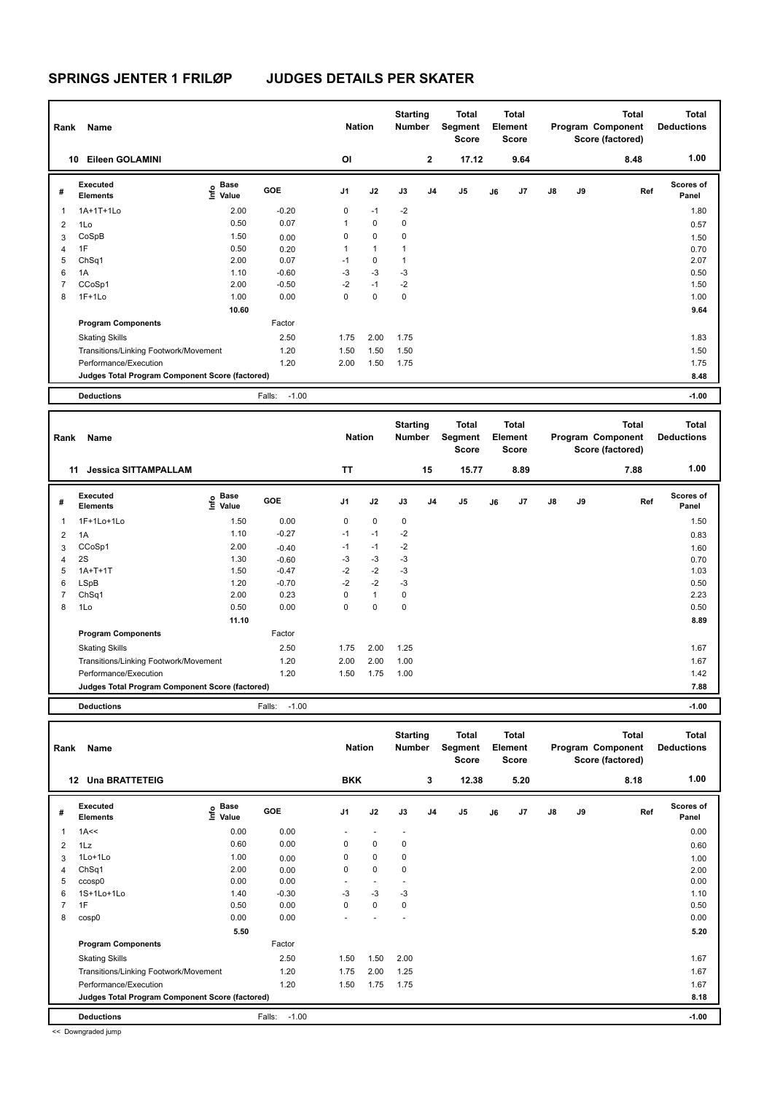| Rank | Name                                            |                                  |                   | <b>Nation</b> |              | <b>Starting</b><br>Number |                | <b>Total</b><br>Segment<br><b>Score</b> |    | Total<br>Element<br><b>Score</b> |               |    | <b>Total</b><br>Program Component<br>Score (factored) | Total<br><b>Deductions</b> |
|------|-------------------------------------------------|----------------------------------|-------------------|---------------|--------------|---------------------------|----------------|-----------------------------------------|----|----------------------------------|---------------|----|-------------------------------------------------------|----------------------------|
|      | Eileen GOLAMINI<br>10                           |                                  |                   | OI            |              |                           | $\overline{2}$ | 17.12                                   |    | 9.64                             |               |    | 8.48                                                  | 1.00                       |
| #    | Executed<br><b>Elements</b>                     | <b>Base</b><br>o Base<br>⊆ Value | GOE               | J1            | J2           | J3                        | J <sub>4</sub> | J5                                      | J6 | J7                               | $\mathsf{J}8$ | J9 | Ref                                                   | <b>Scores of</b><br>Panel  |
| 1    | 1A+1T+1Lo                                       | 2.00                             | $-0.20$           | 0             | $-1$         | $-2$                      |                |                                         |    |                                  |               |    |                                                       | 1.80                       |
| 2    | 1Lo                                             | 0.50                             | 0.07              | $\mathbf{1}$  | $\mathbf 0$  | 0                         |                |                                         |    |                                  |               |    |                                                       | 0.57                       |
| 3    | CoSpB                                           | 1.50                             | 0.00              | 0             | $\mathbf 0$  | 0                         |                |                                         |    |                                  |               |    |                                                       | 1.50                       |
| 4    | 1F                                              | 0.50                             | 0.20              | 1             | $\mathbf{1}$ |                           |                |                                         |    |                                  |               |    |                                                       | 0.70                       |
| 5    | ChSq1                                           | 2.00                             | 0.07              | $-1$          | 0            |                           |                |                                         |    |                                  |               |    |                                                       | 2.07                       |
| 6    | 1A                                              | 1.10                             | $-0.60$           | $-3$          | $-3$         | $-3$                      |                |                                         |    |                                  |               |    |                                                       | 0.50                       |
|      | CCoSp1                                          | 2.00                             | $-0.50$           | $-2$          | $-1$         | $-2$                      |                |                                         |    |                                  |               |    |                                                       | 1.50                       |
| 8    | $1F+1Lo$                                        | 1.00                             | 0.00              | 0             | $\mathbf 0$  | 0                         |                |                                         |    |                                  |               |    |                                                       | 1.00                       |
|      |                                                 | 10.60                            |                   |               |              |                           |                |                                         |    |                                  |               |    |                                                       | 9.64                       |
|      | <b>Program Components</b>                       |                                  | Factor            |               |              |                           |                |                                         |    |                                  |               |    |                                                       |                            |
|      | <b>Skating Skills</b>                           |                                  | 2.50              | 1.75          | 2.00         | 1.75                      |                |                                         |    |                                  |               |    |                                                       | 1.83                       |
|      | Transitions/Linking Footwork/Movement           |                                  | 1.20              | 1.50          | 1.50         | 1.50                      |                |                                         |    |                                  |               |    |                                                       | 1.50                       |
|      | Performance/Execution                           |                                  | 1.20              | 2.00          | 1.50         | 1.75                      |                |                                         |    |                                  |               |    |                                                       | 1.75                       |
|      | Judges Total Program Component Score (factored) |                                  |                   |               |              |                           |                |                                         |    |                                  |               |    |                                                       | 8.48                       |
|      | <b>Deductions</b>                               |                                  | $-1.00$<br>Falls: |               |              |                           |                |                                         |    |                                  |               |    |                                                       | $-1.00$                    |

| Rank           | Name                                            |                            |                   | <b>Nation</b> |              | <b>Starting</b><br><b>Number</b> |                | <b>Total</b><br>Segment<br><b>Score</b> |    | <b>Total</b><br>Element<br><b>Score</b> |               |    | <b>Total</b><br>Program Component<br>Score (factored) | Total<br><b>Deductions</b> |
|----------------|-------------------------------------------------|----------------------------|-------------------|---------------|--------------|----------------------------------|----------------|-----------------------------------------|----|-----------------------------------------|---------------|----|-------------------------------------------------------|----------------------------|
|                | <b>Jessica SITTAMPALLAM</b><br>11               |                            |                   | <b>TT</b>     |              |                                  | 15             | 15.77                                   |    | 8.89                                    |               |    | 7.88                                                  | 1.00                       |
| #              | Executed<br><b>Elements</b>                     | <b>Base</b><br>۴٥<br>Value | GOE               | J1            | J2           | J3                               | J <sub>4</sub> | J <sub>5</sub>                          | J6 | J <sub>7</sub>                          | $\mathsf{J}8$ | J9 | Ref                                                   | Scores of<br>Panel         |
| 1              | 1F+1Lo+1Lo                                      | 1.50                       | 0.00              | 0             | $\mathbf 0$  | $\mathbf 0$                      |                |                                         |    |                                         |               |    |                                                       | 1.50                       |
| 2              | 1A                                              | 1.10                       | $-0.27$           | $-1$          | $-1$         | $-2$                             |                |                                         |    |                                         |               |    |                                                       | 0.83                       |
| 3              | CCoSp1                                          | 2.00                       | $-0.40$           | $-1$          | $-1$         | $-2$                             |                |                                         |    |                                         |               |    |                                                       | 1.60                       |
| $\overline{4}$ | 2S                                              | 1.30                       | $-0.60$           | $-3$          | $-3$         | $-3$                             |                |                                         |    |                                         |               |    |                                                       | 0.70                       |
| 5              | $1A+T+1T$                                       | 1.50                       | $-0.47$           | $-2$          | $-2$         | $-3$                             |                |                                         |    |                                         |               |    |                                                       | 1.03                       |
| 6              | LSpB                                            | 1.20                       | $-0.70$           | $-2$          | $-2$         | $-3$                             |                |                                         |    |                                         |               |    |                                                       | 0.50                       |
| 7              | ChSq1                                           | 2.00                       | 0.23              | 0             | $\mathbf{1}$ | 0                                |                |                                         |    |                                         |               |    |                                                       | 2.23                       |
| 8              | 1Lo                                             | 0.50                       | 0.00              | 0             | $\mathbf 0$  | $\mathbf 0$                      |                |                                         |    |                                         |               |    |                                                       | 0.50                       |
|                |                                                 | 11.10                      |                   |               |              |                                  |                |                                         |    |                                         |               |    |                                                       | 8.89                       |
|                | <b>Program Components</b>                       |                            | Factor            |               |              |                                  |                |                                         |    |                                         |               |    |                                                       |                            |
|                | <b>Skating Skills</b>                           |                            | 2.50              | 1.75          | 2.00         | 1.25                             |                |                                         |    |                                         |               |    |                                                       | 1.67                       |
|                | Transitions/Linking Footwork/Movement           |                            | 1.20              | 2.00          | 2.00         | 1.00                             |                |                                         |    |                                         |               |    |                                                       | 1.67                       |
|                | Performance/Execution                           |                            | 1.20              | 1.50          | 1.75         | 1.00                             |                |                                         |    |                                         |               |    |                                                       | 1.42                       |
|                | Judges Total Program Component Score (factored) |                            |                   |               |              |                                  |                |                                         |    |                                         |               |    |                                                       | 7.88                       |
|                | <b>Deductions</b>                               |                            | $-1.00$<br>Falls: |               |              |                                  |                |                                         |    |                                         |               |    |                                                       | $-1.00$                    |

| Rank | Name                                            |                                      |                   | <b>Nation</b>            |                          | <b>Starting</b><br>Number |                | <b>Total</b><br>Segment<br><b>Score</b> |    | <b>Total</b><br>Element<br><b>Score</b> |    |    | <b>Total</b><br>Program Component<br>Score (factored) | Total<br><b>Deductions</b> |
|------|-------------------------------------------------|--------------------------------------|-------------------|--------------------------|--------------------------|---------------------------|----------------|-----------------------------------------|----|-----------------------------------------|----|----|-------------------------------------------------------|----------------------------|
|      | <b>Una BRATTETEIG</b><br>12                     |                                      |                   | <b>BKK</b>               |                          |                           | 3              | 12.38                                   |    | 5.20                                    |    |    | 8.18                                                  | 1.00                       |
| #    | <b>Executed</b><br><b>Elements</b>              | Base<br>e <sup>Base</sup><br>⊆ Value | GOE               | J <sub>1</sub>           | J2                       | J3                        | J <sub>4</sub> | J5                                      | J6 | J7                                      | J8 | J9 | Ref                                                   | <b>Scores of</b><br>Panel  |
| 1    | 1A<<                                            | 0.00                                 | 0.00              | $\overline{\phantom{a}}$ | $\overline{\phantom{a}}$ | $\overline{\phantom{a}}$  |                |                                         |    |                                         |    |    |                                                       | 0.00                       |
| 2    | 1Lz                                             | 0.60                                 | 0.00              | 0                        | $\mathbf 0$              | $\mathbf 0$               |                |                                         |    |                                         |    |    |                                                       | 0.60                       |
| 3    | $1$ Lo $+1$ Lo                                  | 1.00                                 | 0.00              | 0                        | $\mathbf 0$              | $\mathbf 0$               |                |                                         |    |                                         |    |    |                                                       | 1.00                       |
| 4    | ChSq1                                           | 2.00                                 | 0.00              | 0                        | $\mathbf 0$              | $\mathbf 0$               |                |                                         |    |                                         |    |    |                                                       | 2.00                       |
| 5    | ccosp0                                          | 0.00                                 | 0.00              | $\sim$                   | $\overline{\phantom{a}}$ | $\overline{\phantom{a}}$  |                |                                         |    |                                         |    |    |                                                       | 0.00                       |
| 6    | 1S+1Lo+1Lo                                      | 1.40                                 | $-0.30$           | $-3$                     | $-3$                     | $-3$                      |                |                                         |    |                                         |    |    |                                                       | 1.10                       |
| 7    | 1F                                              | 0.50                                 | 0.00              | 0                        | 0                        | 0                         |                |                                         |    |                                         |    |    |                                                       | 0.50                       |
| 8    | cosp0                                           | 0.00                                 | 0.00              | ٠                        |                          |                           |                |                                         |    |                                         |    |    |                                                       | 0.00                       |
|      |                                                 | 5.50                                 |                   |                          |                          |                           |                |                                         |    |                                         |    |    |                                                       | 5.20                       |
|      | <b>Program Components</b>                       |                                      | Factor            |                          |                          |                           |                |                                         |    |                                         |    |    |                                                       |                            |
|      | <b>Skating Skills</b>                           |                                      | 2.50              | 1.50                     | 1.50                     | 2.00                      |                |                                         |    |                                         |    |    |                                                       | 1.67                       |
|      | Transitions/Linking Footwork/Movement           |                                      | 1.20              | 1.75                     | 2.00                     | 1.25                      |                |                                         |    |                                         |    |    |                                                       | 1.67                       |
|      | Performance/Execution                           |                                      | 1.20              | 1.50                     | 1.75                     | 1.75                      |                |                                         |    |                                         |    |    |                                                       | 1.67                       |
|      | Judges Total Program Component Score (factored) |                                      |                   |                          |                          |                           |                |                                         |    |                                         |    |    |                                                       | 8.18                       |
|      | <b>Deductions</b>                               |                                      | $-1.00$<br>Falls: |                          |                          |                           |                |                                         |    |                                         |    |    |                                                       | $-1.00$                    |

<< Downgraded jump